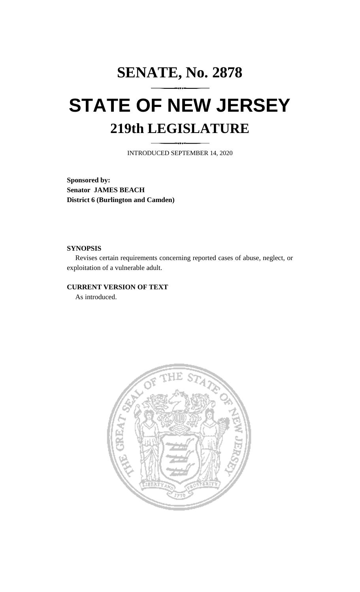# **SENATE, No. 2878 STATE OF NEW JERSEY 219th LEGISLATURE**

INTRODUCED SEPTEMBER 14, 2020

**Sponsored by: Senator JAMES BEACH District 6 (Burlington and Camden)**

### **SYNOPSIS**

Revises certain requirements concerning reported cases of abuse, neglect, or exploitation of a vulnerable adult.

## **CURRENT VERSION OF TEXT**

As introduced.

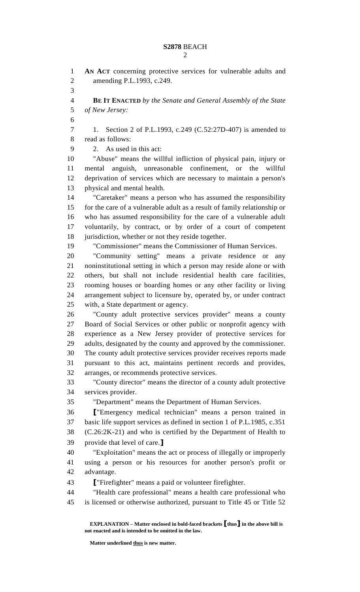# **S2878** BEACH

 $\mathcal{D}$ 

 **AN ACT** concerning protective services for vulnerable adults and amending P.L.1993, c.249. **BE IT ENACTED** *by the Senate and General Assembly of the State of New Jersey:* 1. Section 2 of P.L.1993, c.249 (C.52:27D-407) is amended to read as follows: 2. As used in this act: "Abuse" means the willful infliction of physical pain, injury or mental anguish, unreasonable confinement, or the willful deprivation of services which are necessary to maintain a person's physical and mental health. "Caretaker" means a person who has assumed the responsibility for the care of a vulnerable adult as a result of family relationship or who has assumed responsibility for the care of a vulnerable adult voluntarily, by contract, or by order of a court of competent 18 jurisdiction, whether or not they reside together. "Commissioner" means the Commissioner of Human Services. "Community setting" means a private residence or any noninstitutional setting in which a person may reside alone or with others, but shall not include residential health care facilities, rooming houses or boarding homes or any other facility or living arrangement subject to licensure by, operated by, or under contract with, a State department or agency. "County adult protective services provider" means a county Board of Social Services or other public or nonprofit agency with experience as a New Jersey provider of protective services for adults, designated by the county and approved by the commissioner. The county adult protective services provider receives reports made pursuant to this act, maintains pertinent records and provides, arranges, or recommends protective services. "County director" means the director of a county adult protective services provider. "Department" means the Department of Human Services. **[**"Emergency medical technician" means a person trained in basic life support services as defined in section 1 of P.L.1985, c.351 (C.26:2K-21) and who is certified by the Department of Health to provide that level of care.**]** "Exploitation" means the act or process of illegally or improperly using a person or his resources for another person's profit or advantage. **[**"Firefighter" means a paid or volunteer firefighter. "Health care professional" means a health care professional who is licensed or otherwise authorized, pursuant to Title 45 or Title 52

**EXPLANATION – Matter enclosed in bold-faced brackets [thus] in the above bill is not enacted and is intended to be omitted in the law.**

**Matter underlined thus is new matter.**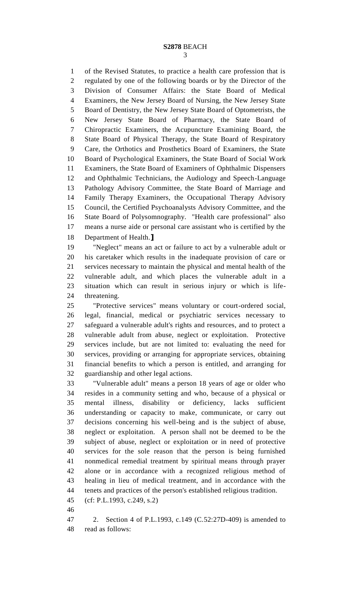of the Revised Statutes, to practice a health care profession that is regulated by one of the following boards or by the Director of the Division of Consumer Affairs: the State Board of Medical Examiners, the New Jersey Board of Nursing, the New Jersey State Board of Dentistry, the New Jersey State Board of Optometrists, the New Jersey State Board of Pharmacy, the State Board of Chiropractic Examiners, the Acupuncture Examining Board, the State Board of Physical Therapy, the State Board of Respiratory Care, the Orthotics and Prosthetics Board of Examiners, the State Board of Psychological Examiners, the State Board of Social Work Examiners, the State Board of Examiners of Ophthalmic Dispensers and Ophthalmic Technicians, the Audiology and Speech-Language Pathology Advisory Committee, the State Board of Marriage and Family Therapy Examiners, the Occupational Therapy Advisory Council, the Certified Psychoanalysts Advisory Committee, and the State Board of Polysomnography. "Health care professional" also means a nurse aide or personal care assistant who is certified by the Department of Health.**]**

 "Neglect" means an act or failure to act by a vulnerable adult or his caretaker which results in the inadequate provision of care or services necessary to maintain the physical and mental health of the vulnerable adult, and which places the vulnerable adult in a situation which can result in serious injury or which is life-threatening.

 "Protective services" means voluntary or court-ordered social, legal, financial, medical or psychiatric services necessary to safeguard a vulnerable adult's rights and resources, and to protect a vulnerable adult from abuse, neglect or exploitation. Protective services include, but are not limited to: evaluating the need for services, providing or arranging for appropriate services, obtaining financial benefits to which a person is entitled, and arranging for guardianship and other legal actions.

 "Vulnerable adult" means a person 18 years of age or older who resides in a community setting and who, because of a physical or mental illness, disability or deficiency, lacks sufficient understanding or capacity to make, communicate, or carry out decisions concerning his well-being and is the subject of abuse, neglect or exploitation. A person shall not be deemed to be the subject of abuse, neglect or exploitation or in need of protective services for the sole reason that the person is being furnished nonmedical remedial treatment by spiritual means through prayer alone or in accordance with a recognized religious method of healing in lieu of medical treatment, and in accordance with the tenets and practices of the person's established religious tradition.

(cf: P.L.1993, c.249, s.2)

 2. Section 4 of P.L.1993, c.149 (C.52:27D-409) is amended to read as follows: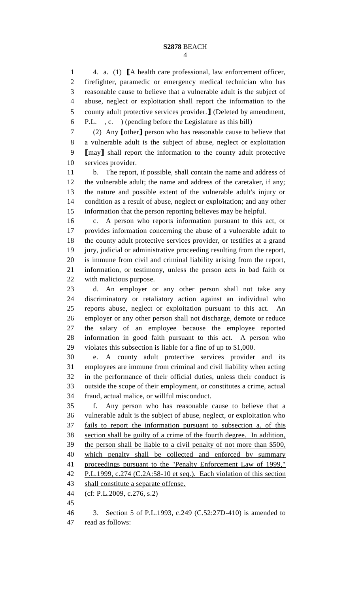4. a. (1) **[**A health care professional, law enforcement officer, firefighter, paramedic or emergency medical technician who has reasonable cause to believe that a vulnerable adult is the subject of abuse, neglect or exploitation shall report the information to the county adult protective services provider.**]** (Deleted by amendment, P.L. , c. ) (pending before the Legislature as this bill)

 (2) Any **[**other**]** person who has reasonable cause to believe that a vulnerable adult is the subject of abuse, neglect or exploitation **[**may**]** shall report the information to the county adult protective services provider.

 b. The report, if possible, shall contain the name and address of the vulnerable adult; the name and address of the caretaker, if any; the nature and possible extent of the vulnerable adult's injury or condition as a result of abuse, neglect or exploitation; and any other information that the person reporting believes may be helpful.

 c. A person who reports information pursuant to this act, or provides information concerning the abuse of a vulnerable adult to the county adult protective services provider, or testifies at a grand jury, judicial or administrative proceeding resulting from the report, is immune from civil and criminal liability arising from the report, information, or testimony, unless the person acts in bad faith or with malicious purpose.

 d. An employer or any other person shall not take any discriminatory or retaliatory action against an individual who reports abuse, neglect or exploitation pursuant to this act. An employer or any other person shall not discharge, demote or reduce the salary of an employee because the employee reported information in good faith pursuant to this act. A person who violates this subsection is liable for a fine of up to \$1,000.

 e. A county adult protective services provider and its employees are immune from criminal and civil liability when acting in the performance of their official duties, unless their conduct is outside the scope of their employment, or constitutes a crime, actual fraud, actual malice, or willful misconduct.

 f. Any person who has reasonable cause to believe that a vulnerable adult is the subject of abuse, neglect, or exploitation who fails to report the information pursuant to subsection a. of this section shall be guilty of a crime of the fourth degree. In addition, the person shall be liable to a civil penalty of not more than \$500, which penalty shall be collected and enforced by summary proceedings pursuant to the "Penalty Enforcement Law of 1999," P.L.1999, c.274 (C.2A:58-10 et seq.). Each violation of this section 43 shall constitute a separate offense.

(cf: P.L.2009, c.276, s.2)

 3. Section 5 of P.L.1993, c.249 (C.52:27D-410) is amended to read as follows: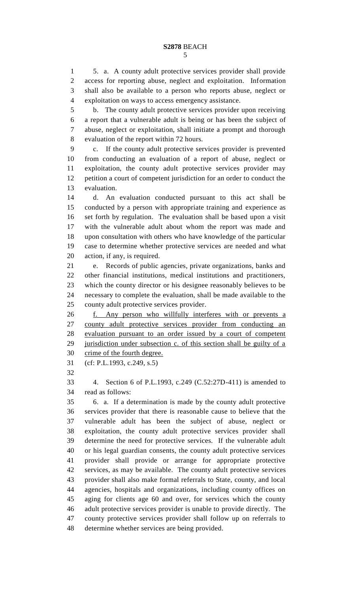#### **S2878** BEACH

 5. a. A county adult protective services provider shall provide access for reporting abuse, neglect and exploitation. Information shall also be available to a person who reports abuse, neglect or exploitation on ways to access emergency assistance.

 b. The county adult protective services provider upon receiving a report that a vulnerable adult is being or has been the subject of abuse, neglect or exploitation, shall initiate a prompt and thorough evaluation of the report within 72 hours.

 c. If the county adult protective services provider is prevented from conducting an evaluation of a report of abuse, neglect or exploitation, the county adult protective services provider may petition a court of competent jurisdiction for an order to conduct the evaluation.

 d. An evaluation conducted pursuant to this act shall be conducted by a person with appropriate training and experience as set forth by regulation. The evaluation shall be based upon a visit with the vulnerable adult about whom the report was made and upon consultation with others who have knowledge of the particular case to determine whether protective services are needed and what action, if any, is required.

 e. Records of public agencies, private organizations, banks and other financial institutions, medical institutions and practitioners, which the county director or his designee reasonably believes to be necessary to complete the evaluation, shall be made available to the county adult protective services provider.

 f. Any person who willfully interferes with or prevents a county adult protective services provider from conducting an evaluation pursuant to an order issued by a court of competent 29 jurisdiction under subsection c. of this section shall be guilty of a crime of the fourth degree.

(cf: P.L.1993, c.249, s.5)

 4. Section 6 of P.L.1993, c.249 (C.52:27D-411) is amended to read as follows:

 6. a. If a determination is made by the county adult protective services provider that there is reasonable cause to believe that the vulnerable adult has been the subject of abuse, neglect or exploitation, the county adult protective services provider shall determine the need for protective services. If the vulnerable adult or his legal guardian consents, the county adult protective services provider shall provide or arrange for appropriate protective services, as may be available. The county adult protective services provider shall also make formal referrals to State, county, and local agencies, hospitals and organizations, including county offices on aging for clients age 60 and over, for services which the county adult protective services provider is unable to provide directly. The county protective services provider shall follow up on referrals to determine whether services are being provided.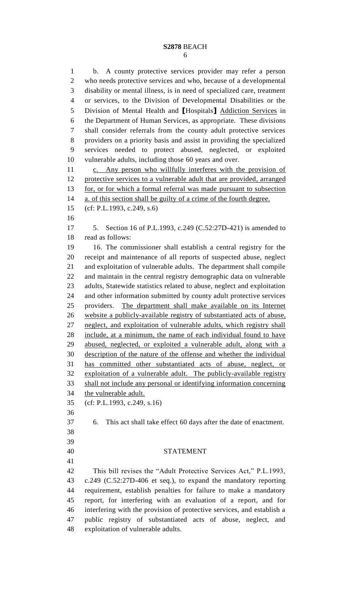### **S2878** BEACH

 b. A county protective services provider may refer a person who needs protective services and who, because of a developmental disability or mental illness, is in need of specialized care, treatment or services, to the Division of Developmental Disabilities or the Division of Mental Health and **[**Hospitals**]** Addiction Services in the Department of Human Services, as appropriate. These divisions shall consider referrals from the county adult protective services providers on a priority basis and assist in providing the specialized services needed to protect abused, neglected, or exploited vulnerable adults, including those 60 years and over. c. Any person who willfully interferes with the provision of protective services to a vulnerable adult that are provided, arranged for, or for which a formal referral was made pursuant to subsection a. of this section shall be guilty of a crime of the fourth degree. (cf: P.L.1993, c.249, s.6) 5. Section 16 of P.L.1993, c.249 (C.52:27D-421) is amended to read as follows: 16. The commissioner shall establish a central registry for the receipt and maintenance of all reports of suspected abuse, neglect and exploitation of vulnerable adults. The department shall compile and maintain in the central registry demographic data on vulnerable adults, Statewide statistics related to abuse, neglect and exploitation and other information submitted by county adult protective services providers. The department shall make available on its Internet website a publicly-available registry of substantiated acts of abuse, neglect, and exploitation of vulnerable adults, which registry shall include, at a minimum, the name of each individual found to have abused, neglected, or exploited a vulnerable adult, along with a description of the nature of the offense and whether the individual has committed other substantiated acts of abuse, neglect, or exploitation of a vulnerable adult. The publicly-available registry shall not include any personal or identifying information concerning the vulnerable adult. (cf: P.L.1993, c.249, s.16) 6. This act shall take effect 60 days after the date of enactment. STATEMENT This bill revises the "Adult Protective Services Act," P.L.1993, c.249 (C.52:27D-406 et seq.), to expand the mandatory reporting requirement, establish penalties for failure to make a mandatory report, for interfering with an evaluation of a report, and for interfering with the provision of protective services, and establish a public registry of substantiated acts of abuse, neglect, and exploitation of vulnerable adults.